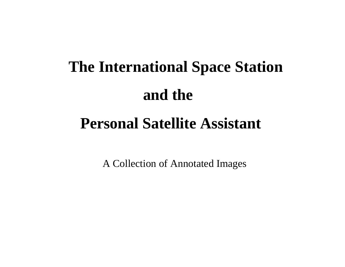## **The International Space Station and the**

## **Personal Satellite Assistant**

A Collection of Annotated Images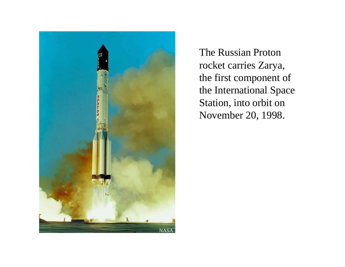

The Russian Proton rocket carries Zarya, the first component of the International Space Station, into orbit on November 20, 1998.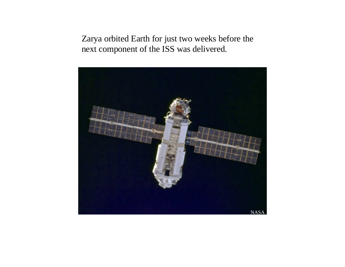Zarya orbited Earth for just two weeks before the next component of the ISS was delivered.

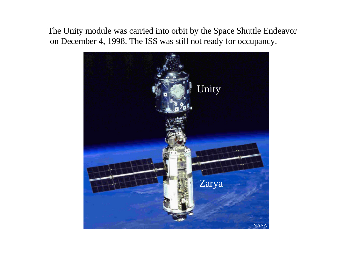The Unity module was carried into orbit by the Space Shuttle Endeavor on December 4, 1998. The ISS was still not ready for occupancy.

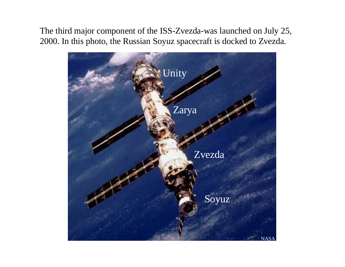The third major component of the ISS-Zvezda-was launched on July 25, 2000. In this photo, the Russian Soyuz spacecraft is docked to Zvezda.

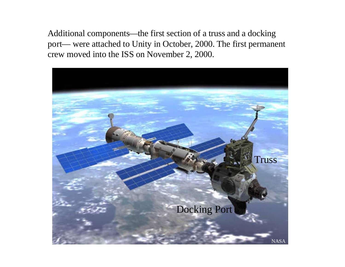Additional components—the first section of a truss and a docking port— were attached to Unity in October, 2000. The first permanent crew moved into the ISS on November 2, 2000.

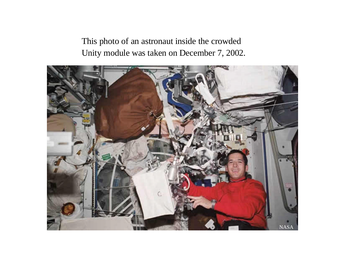This photo of an astronaut inside the crowded Unity module was taken on December 7, 2002.

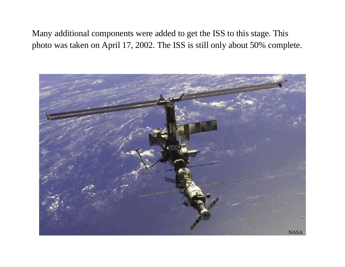Many additional components were added to get the ISS to this stage. This photo was taken on April 17, 2002. The ISS is still only about 50% complete.

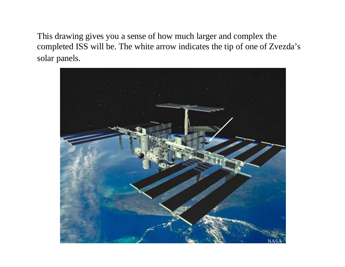This drawing gives you a sense of how much larger and complex the completed ISS will be. The white arrow indicates the tip of one of Zvezda's solar panels.

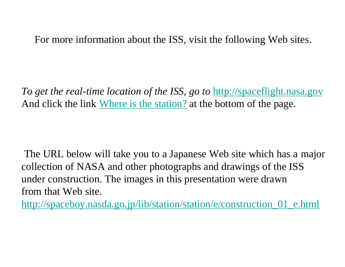For more information about the ISS, visit the following Web sites.

*To get the real-time location of the ISS, go to http://spaceflight.nasa.gov* And click the link Where is the station? at the bottom of the page.

The URL below will take you to a Japanese Web site which has a major collection of NASA and other photographs and drawings of the ISS under construction. The images in this presentation were drawn from that Web site.

http://spaceboy.nasda.go.jp/lib/station/station/e/construction\_01\_e.html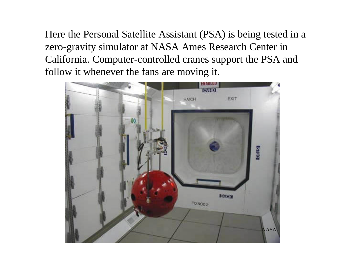Here the Personal Satellite Assistant (PSA) is being tested in a zero-gravity simulator at NASA Ames Research Center in California. Computer-controlled cranes support the PSA and follow it whenever the fans are moving it.

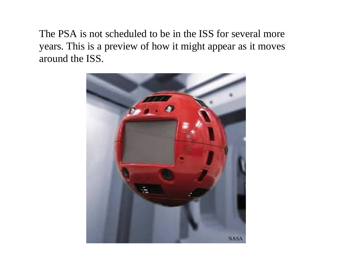The PSA is not scheduled to be in the ISS for several more years. This is a preview of how it might appear as it moves around the ISS.

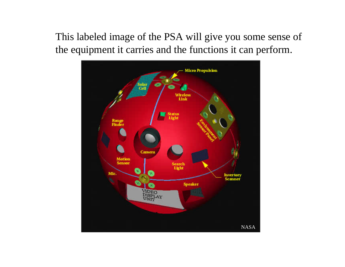This labeled image of the PSA will give you some sense of the equipment it carries and the functions it can perform.